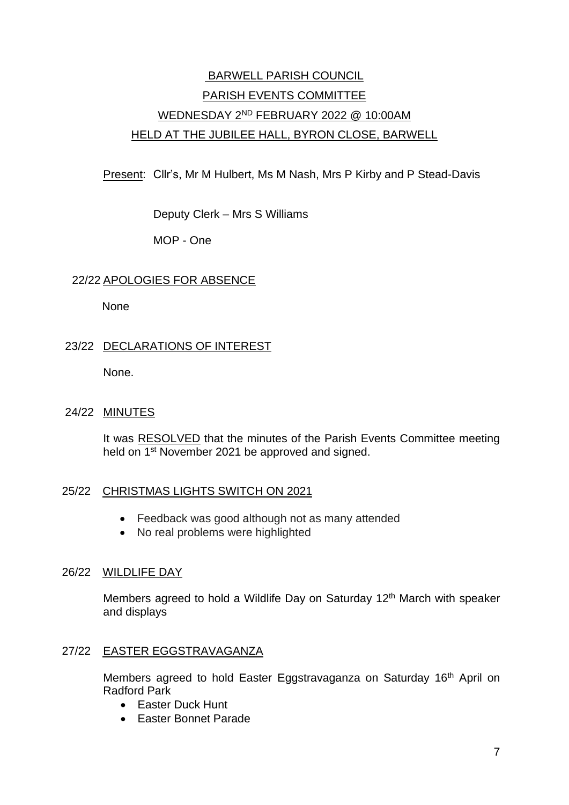# BARWELL PARISH COUNCIL PARISH EVENTS COMMITTEE WEDNESDAY 2ND FEBRUARY 2022 @ 10:00AM HELD AT THE JUBILEE HALL, BYRON CLOSE, BARWELL

Present: Cllr's, Mr M Hulbert, Ms M Nash, Mrs P Kirby and P Stead-Davis

Deputy Clerk – Mrs S Williams

MOP - One

# 22/22 APOLOGIES FOR ABSENCE

**None** 

# 23/22 DECLARATIONS OF INTEREST

None.

# 24/22 MINUTES

It was RESOLVED that the minutes of the Parish Events Committee meeting held on 1<sup>st</sup> November 2021 be approved and signed.

# 25/22 CHRISTMAS LIGHTS SWITCH ON 2021

- Feedback was good although not as many attended
- No real problems were highlighted

# 26/22 WILDLIFE DAY

Members agreed to hold a Wildlife Day on Saturday 12<sup>th</sup> March with speaker and displays

# 27/22 EASTER EGGSTRAVAGANZA

Members agreed to hold Easter Eggstravaganza on Saturday 16<sup>th</sup> April on Radford Park

- Easter Duck Hunt
- Easter Bonnet Parade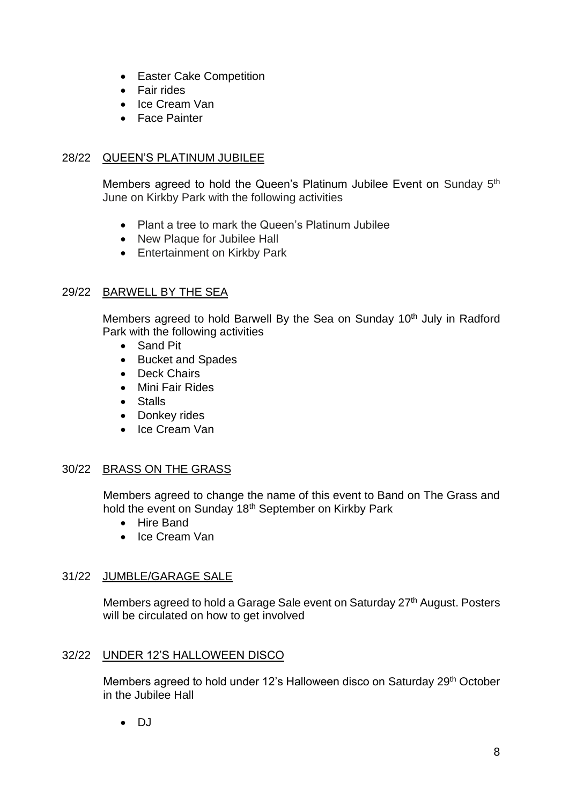- Easter Cake Competition
- Fair rides
- Ice Cream Van
- Face Painter

## 28/22 QUEEN'S PLATINUM JUBILEE

Members agreed to hold the Queen's Platinum Jubilee Event on Sunday 5<sup>th</sup> June on Kirkby Park with the following activities

- Plant a tree to mark the Queen's Platinum Jubilee
- New Plaque for Jubilee Hall
- Entertainment on Kirkby Park

# 29/22 BARWELL BY THE SEA

Members agreed to hold Barwell By the Sea on Sunday 10<sup>th</sup> July in Radford Park with the following activities

- Sand Pit
- Bucket and Spades
- Deck Chairs
- Mini Fair Rides
- Stalls
- Donkey rides
- Ice Cream Van

#### 30/22 BRASS ON THE GRASS

Members agreed to change the name of this event to Band on The Grass and hold the event on Sunday 18th September on Kirkby Park

- Hire Band
- Ice Cream Van

# 31/22 JUMBLE/GARAGE SALE

Members agreed to hold a Garage Sale event on Saturday 27<sup>th</sup> August. Posters will be circulated on how to get involved

#### 32/22 UNDER 12'S HALLOWEEN DISCO

Members agreed to hold under 12's Halloween disco on Saturday 29<sup>th</sup> October in the Jubilee Hall

 $\bullet$  DJ